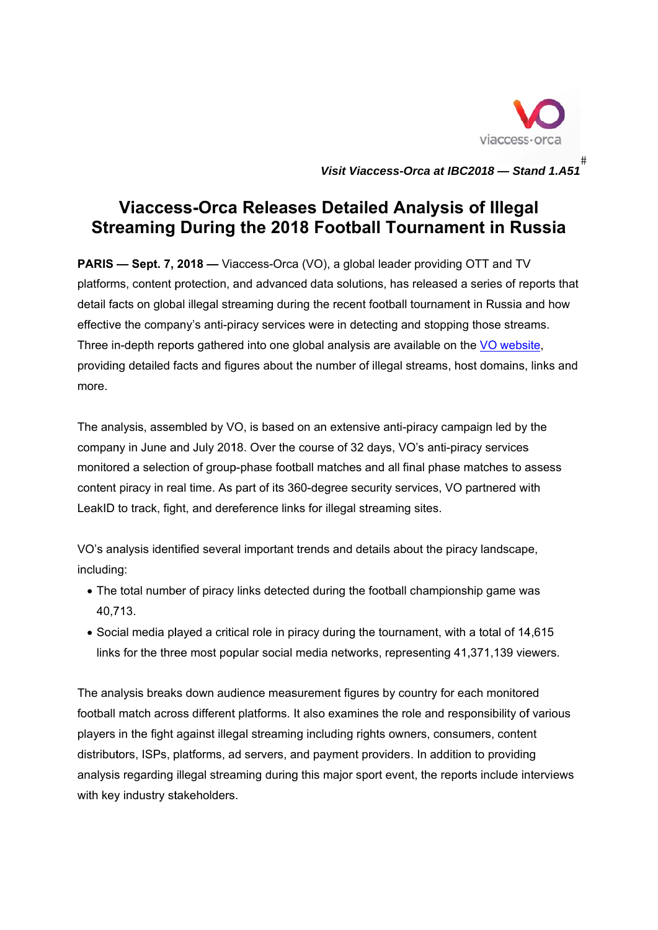

Visit Viaccess-Orca at IBC2018 - Sta  $#$ *and 1.A51*

## **Streaming During the 2018 Football Tournament in Russia Viaccess-Orca Releases Detailed Analysis of Illegal**

**PARIS — Sept. 7, 2018 —** Viaccess-Orca (VO), a global leader providing OTT and TV **PARIS — Sept. 7, 2018 —** Viaccess-Orca (VO), a global leader providing OTT and TV<br>platforms, content protection, and advanced data solutions, has released a series of reports that detail facts on global illegal streaming during the recent football tournament in Russia and how effective the company's anti-piracy services were in detecting and stopping those streams. Three in-depth reports gathered into one global analysis are available on the VO website, providing detailed facts and figures about the number of illegal streams, host domains, links and more.

The analysis, assembled by VO, is based on an extensive anti-piracy campaign led by the company in June and July 2018. Over the course of 32 days, VO's anti-piracy services company in June and July 2018. Over the course of 32 days, VO's anti-piracy services<br>monitored a selection of group-phase football matches and all final phase matches to assess content piracy in real time. As part of its 360-degree security services, VO partnered with LeakID to track, fight, and dereference links for illegal streaming sites.

VO's analysis identified several important trends and details about the piracy landscape, includin g:

- The total number of piracy links detected during the football championship game was 40,7 713.
- Social media played a critical role in piracy during the tournament, with a total of 14,615 links for the three most popular social media networks, representing 41,371,139 viewers.

The analysis breaks down audience measurement figures by country for each monitored football match across different platforms. It also examines the role and responsibility of various players in the fight against illegal streaming including rights owners, consumers, content distributors, ISPs, platforms, ad servers, and payment providers. In addition to providing analysis regarding illegal streaming during this major sport event, the reports include interviews with key industry stakeholders.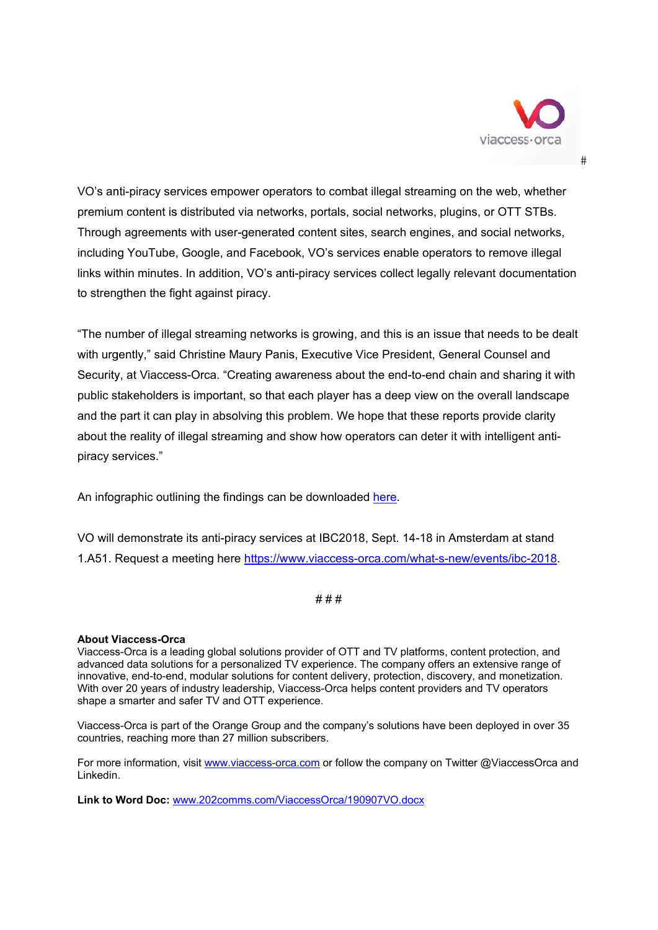

 $#$ 

VO's anti-piracy services empower operators to combat illegal streaming on the web, whether premium content is distributed via networks, portals, social networks, plugins, or OTT STBs. Through agreements with user-generated content sites, search engines, and social networks, including YouTube, Google, and Facebook, VO's services enable operators to remove illegal links within minutes. In addition, VO's anti-piracy services collect legally relevant documentation to strengthen the fight against piracy.

"The number of illegal streaming networks is growing, and this is an issue that needs to be dealt with urgently," said Christine Maury Panis, Executive Vice President, General Counsel and Security, at Viaccess-Orca. "Creating awareness about the end-to-end chain and sharing it with public stakeholders is important, so that each player has a deep view on the overall landscape and the part it can play in absolving this problem. We hope that these reports provide clarity about the reality of illegal streaming and show how operators can deter it with intelligent antipiracy services."

An infographic outlining the findings can be downloaded here.

VO will demonstrate its anti-piracy services at IBC2018, Sept. 14-18 in Amsterdam at stand 1.A51. Request a meeting here https://www.viaccess-orca.com/what-s-new/events/ibc-2018.

 $# # #$ 

## **About Viaccess-Orca**

Viaccess-Orca is a leading global solutions provider of OTT and TV platforms, content protection, and advanced data solutions for a personalized TV experience. The company offers an extensive range of innovative, end-to-end, modular solutions for content delivery, protection, discovery, and monetization. With over 20 years of industry leadership, Viaccess-Orca helps content providers and TV operators shape a smarter and safer TV and OTT experience.

Viaccess-Orca is part of the Orange Group and the company's solutions have been deployed in over 35 countries, reaching more than 27 million subscribers.

For more information, visit www.viaccess-orca.com or follow the company on Twitter @ViaccessOrca and Linkedin.

Link to Word Doc: www.202comms.com/ViaccessOrca/190907VO.docx